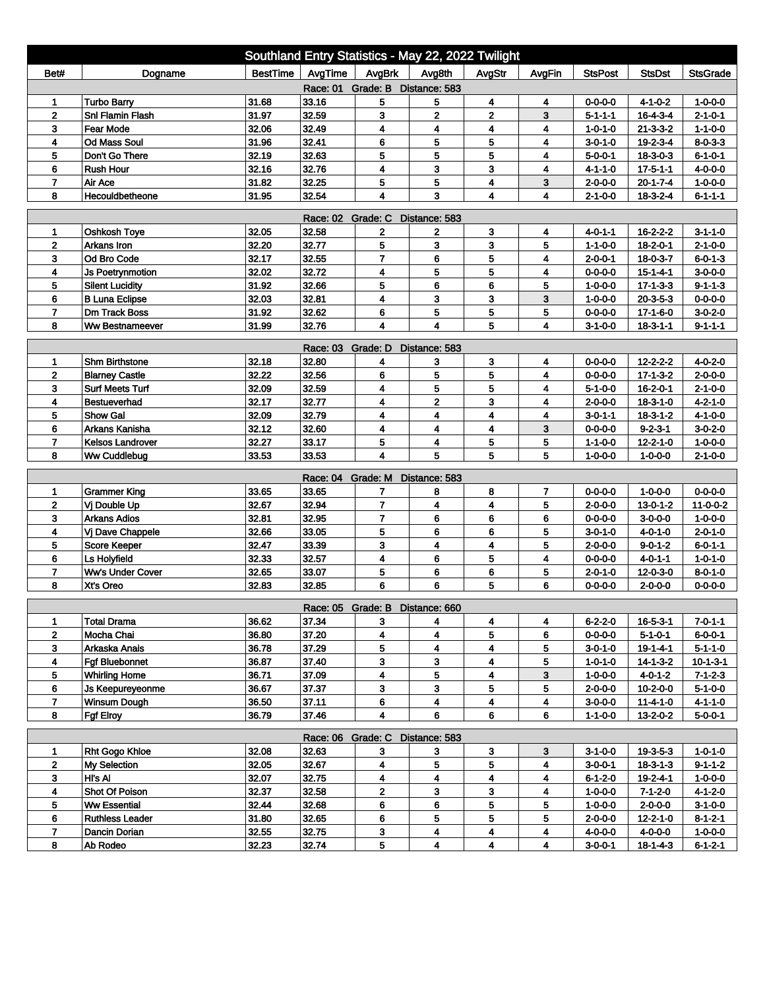| Southland Entry Statistics - May 22, 2022 Twilight                                                                   |                         |                 |                   |                                 |                         |                         |        |                 |                  |                  |  |
|----------------------------------------------------------------------------------------------------------------------|-------------------------|-----------------|-------------------|---------------------------------|-------------------------|-------------------------|--------|-----------------|------------------|------------------|--|
| Bet#                                                                                                                 | Dogname                 | <b>BestTime</b> | AvgTime           | AvgBrk                          | Avg8th                  | AvgStr                  | AvgFin | <b>StsPost</b>  | <b>StsDst</b>    | <b>StsGrade</b>  |  |
| Race: 01 Grade: B Distance: 583                                                                                      |                         |                 |                   |                                 |                         |                         |        |                 |                  |                  |  |
| 1                                                                                                                    | <b>Turbo Barry</b>      | 31.68           | 33.16             | 5                               | 5                       | 4                       | 4      | $0 - 0 - 0 - 0$ | $4 - 1 - 0 - 2$  | $1 - 0 - 0 - 0$  |  |
| $\mathbf{2}$                                                                                                         | <b>Snl Flamin Flash</b> | 31.97           | 32.59             | 3                               | 2                       | $\overline{\mathbf{2}}$ | 3      | $5 - 1 - 1 - 1$ | $16 - 4 - 3 - 4$ | $2 - 1 - 0 - 1$  |  |
| 3                                                                                                                    | Fear Mode               | 32.06           | 32.49             | 4                               | 4                       | 4                       | 4      | $1 - 0 - 1 - 0$ | $21 - 3 - 3 - 2$ | $1 - 1 - 0 - 0$  |  |
| 4                                                                                                                    | <b>Od Mass Soul</b>     | 31.96           | 32.41             | 6                               | 5                       | 5                       | 4      | $3 - 0 - 1 - 0$ | 19-2-3-4         | $8 - 0 - 3 - 3$  |  |
| 5                                                                                                                    | Don't Go There          | 32.19           | 32.63             | 5                               | 5                       | 5                       | 4      | 5-0-0-1         | $18 - 3 - 0 - 3$ | $6 - 1 - 0 - 1$  |  |
| 6                                                                                                                    | <b>Rush Hour</b>        | 32.16           | 32.76             | 4                               | 3                       | 3                       | 4      | $4 - 1 - 1 - 0$ | $17 - 5 - 1 - 1$ | $4 - 0 - 0 - 0$  |  |
| $\overline{7}$                                                                                                       | Air Ace                 | 31.82           | 32.25             | 5                               | 5                       | 4                       | 3      | $2 - 0 - 0 - 0$ | $20 - 1 - 7 - 4$ | $1 - 0 - 0 - 0$  |  |
| 32.54<br>3<br>8<br>Hecouldbetheone<br>31.95<br>4<br>4<br>$18 - 3 - 2 - 4$<br>$6 - 1 - 1 - 1$<br>4<br>$2 - 1 - 0 - 0$ |                         |                 |                   |                                 |                         |                         |        |                 |                  |                  |  |
| <b>Race: 02</b><br>Grade: C<br>Distance: 583                                                                         |                         |                 |                   |                                 |                         |                         |        |                 |                  |                  |  |
| 1                                                                                                                    | Oshkosh Toye            | 32.05           | 32.58             | 2                               | 2                       | 3                       | 4      | 4-0-1-1         | $16 - 2 - 2 - 2$ | $3 - 1 - 1 - 0$  |  |
| $\overline{2}$                                                                                                       | Arkans Iron             | 32.20           | 32.77             | 5                               | 3                       | 3                       | 5      | $1 - 1 - 0 - 0$ | 18-2-0-1         | $2 - 1 - 0 - 0$  |  |
| 3                                                                                                                    | Od Bro Code             | 32.17           | 32.55             | $\overline{7}$                  | 6                       | 5                       | 4      | $2 - 0 - 0 - 1$ | 18-0-3-7         | $6 - 0 - 1 - 3$  |  |
| 4                                                                                                                    | <b>Js Poetrynmotion</b> | 32.02           | 32.72             | 4                               | 5                       | 5                       | 4      | $0 - 0 - 0 - 0$ | $15 - 1 - 4 - 1$ | $3-0-0-0$        |  |
| 5                                                                                                                    | <b>Silent Lucidity</b>  | 31.92           | 32.66             | 5                               | 6                       | 6                       | 5      | $1 - 0 - 0 - 0$ | $17 - 1 - 3 - 3$ | $9 - 1 - 1 - 3$  |  |
| 6                                                                                                                    | <b>B Luna Eclipse</b>   | 32.03           | 32.81             | 4                               | 3                       | 3                       | 3      | $1 - 0 - 0 - 0$ | $20 - 3 - 5 - 3$ | $0 - 0 - 0 - 0$  |  |
| $\overline{7}$                                                                                                       | <b>Dm Track Boss</b>    | 31.92           | 32.62             | 6                               | 5                       | 5                       | 5      | 0-0-0-0         | $17 - 1 - 6 - 0$ | $3 - 0 - 2 - 0$  |  |
| 8                                                                                                                    | <b>Ww Bestnameever</b>  | 31.99           | 32.76             | 4                               | $\overline{\mathbf{4}}$ | 5                       | 4      | $3 - 1 - 0 - 0$ | $18 - 3 - 1 - 1$ | $9 - 1 - 1 - 1$  |  |
| Race: 03 Grade: D<br>Distance: 583                                                                                   |                         |                 |                   |                                 |                         |                         |        |                 |                  |                  |  |
| 1                                                                                                                    | <b>Shm Birthstone</b>   | 32.18           | 32.80             | 4                               | 3                       | 3                       | 4      | $0 - 0 - 0 - 0$ | $12 - 2 - 2 - 2$ | $4 - 0 - 2 - 0$  |  |
| $\mathbf 2$                                                                                                          | <b>Blarney Castle</b>   | 32.22           | 32.56             | 6                               | 5                       | 5                       | 4      | $0 - 0 - 0 - 0$ | $17 - 1 - 3 - 2$ | $2 - 0 - 0 - 0$  |  |
| 3                                                                                                                    | <b>Surf Meets Turf</b>  | 32.09           | 32.59             | 4                               | 5                       | 5                       | 4      | $5 - 1 - 0 - 0$ | $16 - 2 - 0 - 1$ | $2 - 1 - 0 - 0$  |  |
| 4                                                                                                                    | <b>Bestueverhad</b>     | 32.17           | 32.77             | 4                               | $\overline{\mathbf{2}}$ | 3                       | 4      | 2-0-0-0         | $18 - 3 - 1 - 0$ | 4-2-1-0          |  |
| 5                                                                                                                    | <b>Show Gal</b>         | 32.09           | 32.79             | 4                               | 4                       | 4                       | 4      | 3-0-1-1         | $18 - 3 - 1 - 2$ | $4 - 1 - 0 - 0$  |  |
| 6                                                                                                                    | Arkans Kanisha          | 32.12           | 32.60             | 4                               | 4                       | 4                       | 3      | $0 - 0 - 0 - 0$ | $9 - 2 - 3 - 1$  | $3 - 0 - 2 - 0$  |  |
| 7                                                                                                                    | <b>Kelsos Landrover</b> | 32.27           | 33.17             | 5                               | 4                       | 5                       | 5      | $1 - 1 - 0 - 0$ | $12 - 2 - 1 - 0$ | $1 - 0 - 0 - 0$  |  |
| 8                                                                                                                    | Ww Cuddlebug            | 33.53           | 33.53             | $\overline{\mathbf{4}}$         | 5                       | 5                       | 5      | $1 - 0 - 0 - 0$ | $1 - 0 - 0 - 0$  | $2 - 1 - 0 - 0$  |  |
|                                                                                                                      |                         |                 | Race: 04 Grade: M |                                 | Distance: 583           |                         |        |                 |                  |                  |  |
| 1                                                                                                                    | <b>Grammer King</b>     | 33.65           | 33.65             | 7                               | 8                       | 8                       | 7      | $0 - 0 - 0 - 0$ | $1 - 0 - 0 - 0$  | $0 - 0 - 0 - 0$  |  |
| $\mathbf{2}$                                                                                                         | Vj Double Up            | 32.67           | 32.94             | $\overline{7}$                  | 4                       | 4                       | 5      | $2 - 0 - 0 - 0$ | $13 - 0 - 1 - 2$ | $11 - 0 - 0 - 2$ |  |
| 3                                                                                                                    | <b>Arkans Adios</b>     | 32.81           | 32.95             | $\overline{7}$                  | 6                       | 6                       | 6      | $0 - 0 - 0 - 0$ | $3-0-0-0$        | $1 - 0 - 0 - 0$  |  |
| 4                                                                                                                    | Vj Dave Chappele        | 32.66           | 33.05             | 5                               | 6                       | 6                       | 5      | $3 - 0 - 1 - 0$ | 4-0-1-0          | $2 - 0 - 1 - 0$  |  |
| 5                                                                                                                    | Score Keeper            | 32.47           | 33.39             | 3                               | 4                       | 4                       | 5      | $2 - 0 - 0 - 0$ | $9 - 0 - 1 - 2$  | $6 - 0 - 1 - 1$  |  |
| 6                                                                                                                    | Ls Holyfield            | 32.33           | 32.57             | 4                               | 6                       | 5                       | 4      | $0 - 0 - 0 - 0$ | $4 - 0 - 1 - 1$  | $1 - 0 - 1 - 0$  |  |
| $\overline{7}$                                                                                                       | Ww's Under Cover        | 32.65           | 33.07             | 5                               | 6                       | 6                       | 5      | $2 - 0 - 1 - 0$ | 12-0-3-0         | $8 - 0 - 1 - 0$  |  |
| 8                                                                                                                    | Xt's Oreo               | 32.83           | 32.85             | 6                               | 6                       | 5                       | 6      | $0 - 0 - 0 - 0$ | 2-0-0-0          | 0-0-0-0          |  |
|                                                                                                                      |                         |                 |                   | Race: 05 Grade: B Distance: 660 |                         |                         |        |                 |                  |                  |  |
| 1                                                                                                                    | <b>Total Drama</b>      | 36.62           | 37.34             | 3                               | 4                       | 4                       | 4      | $6 - 2 - 2 - 0$ | 16-5-3-1         | 7-0-1-1          |  |
| $\mathbf{2}$                                                                                                         | Mocha Chai              | 36.80           | 37.20             | 4                               | 4                       | 5                       | 6      | $0 - 0 - 0 - 0$ | $5 - 1 - 0 - 1$  | $6 - 0 - 0 - 1$  |  |
| 3                                                                                                                    | Arkaska Anais           | 36.78           | 37.29             | 5                               | 4                       | 4                       | 5      | $3 - 0 - 1 - 0$ | $19 - 1 - 4 - 1$ | $5 - 1 - 1 - 0$  |  |
| 4                                                                                                                    | <b>Faf Bluebonnet</b>   | 36.87           | 37.40             | 3                               | 3                       | 4                       | 5      | $1 - 0 - 1 - 0$ | $14 - 1 - 3 - 2$ | $10 - 1 - 3 - 1$ |  |
| 5                                                                                                                    | <b>Whirling Home</b>    | 36.71           | 37.09             | 4                               | 5                       | 4                       | 3      | $1 - 0 - 0 - 0$ | $4 - 0 - 1 - 2$  | $7 - 1 - 2 - 3$  |  |
| 6                                                                                                                    | Js Keepureyeonme        | 36.67           | 37.37             | 3                               | 3                       | 5                       | 5      | $2 - 0 - 0 - 0$ | $10 - 2 - 0 - 0$ | $5 - 1 - 0 - 0$  |  |
| $\overline{7}$                                                                                                       | <b>Winsum Dough</b>     | 36.50           | 37.11             | 6                               | 4                       | $\overline{\mathbf{4}}$ | 4      | $3 - 0 - 0 - 0$ | $11 - 4 - 1 - 0$ | $4 - 1 - 1 - 0$  |  |
| 8                                                                                                                    | <b>Fgf Elroy</b>        | 36.79           | 37.46             | 4                               | 6                       | 6                       | 6      | $1 - 1 - 0 - 0$ | $13 - 2 - 0 - 2$ | $5 - 0 - 0 - 1$  |  |
|                                                                                                                      |                         |                 |                   | Race: 06 Grade: C Distance: 583 |                         |                         |        |                 |                  |                  |  |
| 1                                                                                                                    | <b>Rht Gogo Khloe</b>   | 32.08           | 32.63             | 3                               | 3                       | 3                       | 3      | $3 - 1 - 0 - 0$ | $19 - 3 - 5 - 3$ | $1 - 0 - 1 - 0$  |  |
| $\mathbf 2$                                                                                                          | My Selection            | 32.05           | 32.67             | 4                               | 5                       | 5                       | 4      | $3 - 0 - 0 - 1$ | $18 - 3 - 1 - 3$ | $9 - 1 - 1 - 2$  |  |
| 3                                                                                                                    | HI's AI                 | 32.07           | 32.75             | 4                               | 4                       | 4                       | 4      | $6 - 1 - 2 - 0$ | 19-2-4-1         | $1 - 0 - 0 - 0$  |  |
| 4                                                                                                                    | Shot Of Poison          | 32.37           | 32.58             | $\mathbf 2$                     | 3                       | 3                       | 4      | $1 - 0 - 0 - 0$ | $7 - 1 - 2 - 0$  | $4 - 1 - 2 - 0$  |  |
| 5                                                                                                                    | <b>Ww Essential</b>     | 32.44           | 32.68             | 6                               | 6                       | 5                       | 5      | $1 - 0 - 0 - 0$ | $2 - 0 - 0 - 0$  | $3-1-0-0$        |  |
| 6                                                                                                                    | <b>Ruthless Leader</b>  | 31.80           | 32.65             | 6                               | 5                       | 5                       | 5      | $2 - 0 - 0 - 0$ | $12 - 2 - 1 - 0$ | $8 - 1 - 2 - 1$  |  |
| 7                                                                                                                    | Dancin Dorian           | 32.55           | 32.75             | 3                               | 4                       | 4                       | 4      | 4-0-0-0         | 4-0-0-0          | $1 - 0 - 0 - 0$  |  |
| 8                                                                                                                    | Ab Rodeo                | 32.23           | 32.74             | 5                               | 4                       | 4                       | 4      | $3-0-0-1$       | $18 - 1 - 4 - 3$ | $6 - 1 - 2 - 1$  |  |